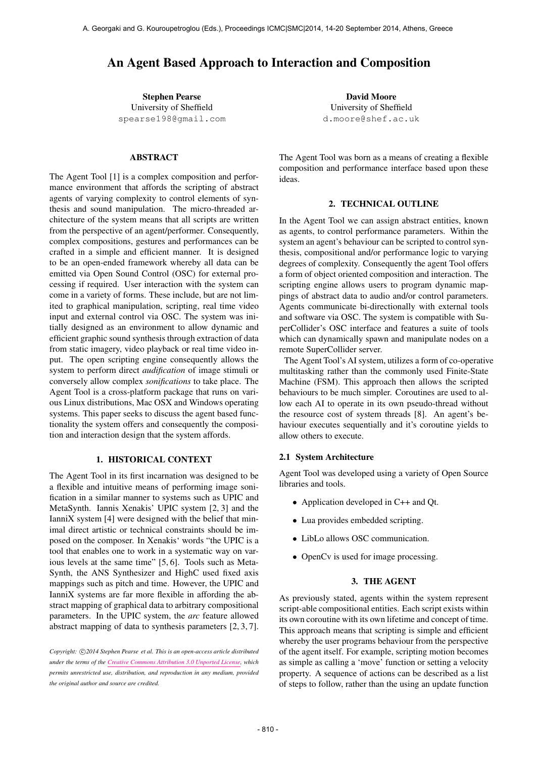# An Agent Based Approach to Interaction and Composition

Stephen Pearse University of Sheffield [spearse198@gmail.com](mailto:spearse198@gmail.com)

# ABSTRACT

The Agent Tool [1] is a complex composition and performance environment that affords the scripting of abstract agents of varying complexity to control elements of synthesis and sound manipulation. The micro-threaded architecture of the system means that all scripts are written from the perspective of an agent/performer. Consequently, complex compositions, gestures and performances can be crafted in a simple and efficient manner. It is designed to be an open-ended framework whereby all data can be emitted via Open Sound Control (OSC) for external processing if required. User interaction with the system can come in a variety of forms. These include, but are not limited to graphical manipulation, scripting, real time video input and external control via OSC. The system was initially designed as an environment to allow dynamic and efficient graphic sound synthesis through extraction of data from static imagery, video playback or real time video input. The open scripting engine consequently allows the system to perform direct *audification* of image stimuli or conversely allow complex *sonifications* to take place. The Agent Tool is a cross-platform package that runs on various Linux distributions, Mac OSX and Windows operating systems. This paper seeks to discuss the agent based functionality the system offers and consequently the composition and interaction design that the system affords.

#### 1. HISTORICAL CONTEXT

The Agent Tool in its first incarnation was designed to be a flexible and intuitive means of performing image sonification in a similar manner to systems such as UPIC and MetaSynth. Iannis Xenakis' UPIC system [2, 3] and the IanniX system [4] were designed with the belief that minimal direct artistic or technical constraints should be imposed on the composer. In Xenakis' words "the UPIC is a tool that enables one to work in a systematic way on various levels at the same time" [5, 6]. Tools such as Meta-Synth, the ANS Synthesizer and HighC used fixed axis mappings such as pitch and time. However, the UPIC and IanniX systems are far more flexible in affording the abstract mapping of graphical data to arbitrary compositional parameters. In the UPIC system, the *arc* feature allowed abstract mapping of data to synthesis parameters [2, 3, 7].

Copyright:  $\bigcirc$ 2014 Stephen Pearse et al. This is an open-access article distributed *under the terms of the [Creative Commons Attribution 3.0 Unported License,](http://creativecommons.org/licenses/by/3.0/) which permits unrestricted use, distribution, and reproduction in any medium, provided the original author and source are credited.*

David Moore University of Sheffield [d.moore@shef.ac.uk](mailto:d.moore@shef.ac.uk)

The Agent Tool was born as a means of creating a flexible composition and performance interface based upon these ideas.

## 2. TECHNICAL OUTLINE

In the Agent Tool we can assign abstract entities, known as agents, to control performance parameters. Within the system an agent's behaviour can be scripted to control synthesis, compositional and/or performance logic to varying degrees of complexity. Consequently the agent Tool offers a form of object oriented composition and interaction. The scripting engine allows users to program dynamic mappings of abstract data to audio and/or control parameters. Agents communicate bi-directionally with external tools and software via OSC. The system is compatible with SuperCollider's OSC interface and features a suite of tools which can dynamically spawn and manipulate nodes on a remote SuperCollider server.

The Agent Tool's AI system, utilizes a form of co-operative multitasking rather than the commonly used Finite-State Machine (FSM). This approach then allows the scripted behaviours to be much simpler. Coroutines are used to allow each AI to operate in its own pseudo-thread without the resource cost of system threads [8]. An agent's behaviour executes sequentially and it's coroutine yields to allow others to execute.

#### 2.1 System Architecture

Agent Tool was developed using a variety of Open Source libraries and tools.

- Application developed in C++ and Qt.
- Lua provides embedded scripting.
- LibLo allows OSC communication.
- OpenCv is used for image processing.

## 3. THE AGENT

As previously stated, agents within the system represent script-able compositional entities. Each script exists within its own coroutine with its own lifetime and concept of time. This approach means that scripting is simple and efficient whereby the user programs behaviour from the perspective of the agent itself. For example, scripting motion becomes as simple as calling a 'move' function or setting a velocity property. A sequence of actions can be described as a list of steps to follow, rather than the using an update function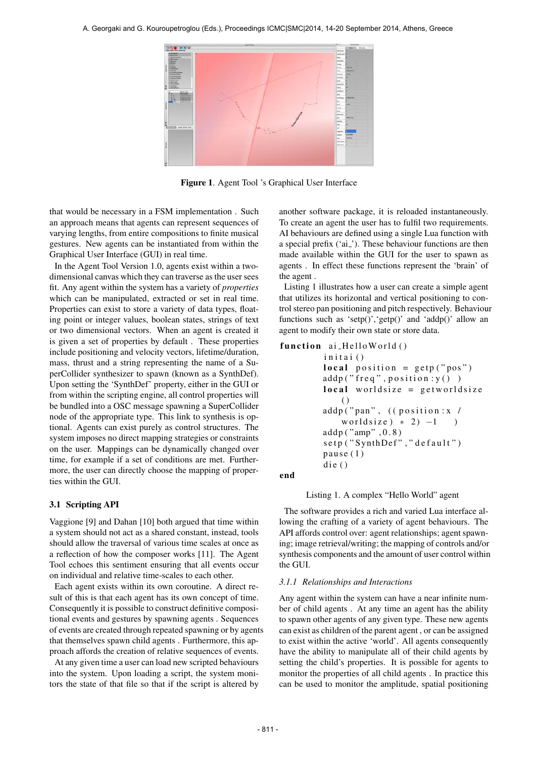

Figure 1. Agent Tool 's Graphical User Interface

that would be necessary in a FSM implementation . Such an approach means that agents can represent sequences of varying lengths, from entire compositions to finite musical gestures. New agents can be instantiated from within the Graphical User Interface (GUI) in real time.

In the Agent Tool Version 1.0, agents exist within a twodimensional canvas which they can traverse as the user sees fit. Any agent within the system has a variety of *properties* which can be manipulated, extracted or set in real time. Properties can exist to store a variety of data types, floating point or integer values, boolean states, strings of text or two dimensional vectors. When an agent is created it is given a set of properties by default . These properties include positioning and velocity vectors, lifetime/duration, mass, thrust and a string representing the name of a SuperCollider synthesizer to spawn (known as a SynthDef). Upon setting the 'SynthDef' property, either in the GUI or from within the scripting engine, all control properties will be bundled into a OSC message spawning a SuperCollider node of the appropriate type. This link to synthesis is optional. Agents can exist purely as control structures. The system imposes no direct mapping strategies or constraints on the user. Mappings can be dynamically changed over time, for example if a set of conditions are met. Furthermore, the user can directly choose the mapping of properties within the GUI.

#### 3.1 Scripting API

Vaggione [9] and Dahan [10] both argued that time within a system should not act as a shared constant, instead, tools should allow the traversal of various time scales at once as a reflection of how the composer works [11]. The Agent Tool echoes this sentiment ensuring that all events occur on individual and relative time-scales to each other.

Each agent exists within its own coroutine. A direct result of this is that each agent has its own concept of time. Consequently it is possible to construct definitive compositional events and gestures by spawning agents . Sequences of events are created through repeated spawning or by agents that themselves spawn child agents . Furthermore, this approach affords the creation of relative sequences of events.

At any given time a user can load new scripted behaviours into the system. Upon loading a script, the system monitors the state of that file so that if the script is altered by another software package, it is reloaded instantaneously. To create an agent the user has to fulfil two requirements. AI behaviours are defined using a single Lua function with a special prefix ('ai<sub>-</sub>'). These behaviour functions are then made available within the GUI for the user to spawn as agents . In effect these functions represent the 'brain' of the agent .

Listing 1 illustrates how a user can create a simple agent that utilizes its horizontal and vertical positioning to control stereo pan positioning and pitch respectively. Behaviour functions such as 'setp()', 'getp()' and 'addp()' allow an agent to modify their own state or store data.

```
function ai_HelloWorld ()
     initai()
    local position = getp("pos")addp ("freq", position: y())
    local worldsize = getworldsize
        \left( \right)addp ("pan", ((position: x /
        worldsize ) * 2 -1 )
    addp ("amp", 0.8)
     setp ("SynthDef", "default")
     pau se(1)die()
```
end

Listing 1. A complex "Hello World" agent

The software provides a rich and varied Lua interface allowing the crafting of a variety of agent behaviours. The API affords control over: agent relationships; agent spawning; image retrieval/writing; the mapping of controls and/or synthesis components and the amount of user control within the GUI.

#### *3.1.1 Relationships and Interactions*

Any agent within the system can have a near infinite number of child agents . At any time an agent has the ability to spawn other agents of any given type. These new agents can exist as children of the parent agent , or can be assigned to exist within the active 'world'. All agents consequently have the ability to manipulate all of their child agents by setting the child's properties. It is possible for agents to monitor the properties of all child agents . In practice this can be used to monitor the amplitude, spatial positioning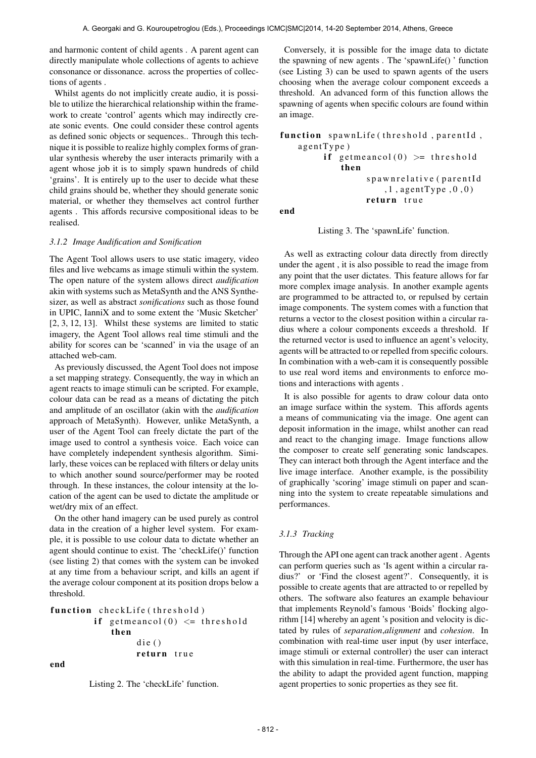and harmonic content of child agents . A parent agent can directly manipulate whole collections of agents to achieve consonance or dissonance. across the properties of collections of agents .

Whilst agents do not implicitly create audio, it is possible to utilize the hierarchical relationship within the framework to create 'control' agents which may indirectly create sonic events. One could consider these control agents as defined sonic objects or sequences.. Through this technique it is possible to realize highly complex forms of granular synthesis whereby the user interacts primarily with a agent whose job it is to simply spawn hundreds of child 'grains'. It is entirely up to the user to decide what these child grains should be, whether they should generate sonic material, or whether they themselves act control further agents . This affords recursive compositional ideas to be realised.

#### *3.1.2 Image Audification and Sonification*

The Agent Tool allows users to use static imagery, video files and live webcams as image stimuli within the system. The open nature of the system allows direct *audification* akin with systems such as MetaSynth and the ANS Synthesizer, as well as abstract *sonifications* such as those found in UPIC, IanniX and to some extent the 'Music Sketcher' [2, 3, 12, 13]. Whilst these systems are limited to static imagery, the Agent Tool allows real time stimuli and the ability for scores can be 'scanned' in via the usage of an attached web-cam.

As previously discussed, the Agent Tool does not impose a set mapping strategy. Consequently, the way in which an agent reacts to image stimuli can be scripted. For example, colour data can be read as a means of dictating the pitch and amplitude of an oscillator (akin with the *audification* approach of MetaSynth). However, unlike MetaSynth, a user of the Agent Tool can freely dictate the part of the image used to control a synthesis voice. Each voice can have completely independent synthesis algorithm. Similarly, these voices can be replaced with filters or delay units to which another sound source/performer may be rooted through. In these instances, the colour intensity at the location of the agent can be used to dictate the amplitude or wet/dry mix of an effect.

On the other hand imagery can be used purely as control data in the creation of a higher level system. For example, it is possible to use colour data to dictate whether an agent should continue to exist. The 'checkLife()' function (see listing 2) that comes with the system can be invoked at any time from a behaviour script, and kills an agent if the average colour component at its position drops below a threshold.

```
function checkLife (threshold)
     if getmeancol(0) \leq threshold
         then
              \text{die}()return true
```
end

Listing 2. The 'checkLife' function.

Conversely, it is possible for the image data to dictate the spawning of new agents . The 'spawnLife() ' function (see Listing 3) can be used to spawn agents of the users choosing when the average colour component exceeds a threshold. An advanced form of this function allows the spawning of agents when specific colours are found within an image.

```
function spawnLife (threshold, parentId,
a g e nt Type)
      if getmeancol(0) >= threshold
          then
                s p a w n r e l a t i v e (p a r e n t I d
                    , 1, agentType, 0, 0)return true
```
end

Listing 3. The 'spawnLife' function.

As well as extracting colour data directly from directly under the agent , it is also possible to read the image from any point that the user dictates. This feature allows for far more complex image analysis. In another example agents are programmed to be attracted to, or repulsed by certain image components. The system comes with a function that returns a vector to the closest position within a circular radius where a colour components exceeds a threshold. If the returned vector is used to influence an agent's velocity, agents will be attracted to or repelled from specific colours. In combination with a web-cam it is consequently possible to use real word items and environments to enforce motions and interactions with agents .

It is also possible for agents to draw colour data onto an image surface within the system. This affords agents a means of communicating via the image. One agent can deposit information in the image, whilst another can read and react to the changing image. Image functions allow the composer to create self generating sonic landscapes. They can interact both through the Agent interface and the live image interface. Another example, is the possibility of graphically 'scoring' image stimuli on paper and scanning into the system to create repeatable simulations and performances.

#### *3.1.3 Tracking*

Through the API one agent can track another agent . Agents can perform queries such as 'Is agent within a circular radius?' or 'Find the closest agent?'. Consequently, it is possible to create agents that are attracted to or repelled by others. The software also features an example behaviour that implements Reynold's famous 'Boids' flocking algorithm [14] whereby an agent 's position and velocity is dictated by rules of *separation*,*alignment* and *cohesion*. In combination with real-time user input (by user interface, image stimuli or external controller) the user can interact with this simulation in real-time. Furthermore, the user has the ability to adapt the provided agent function, mapping agent properties to sonic properties as they see fit.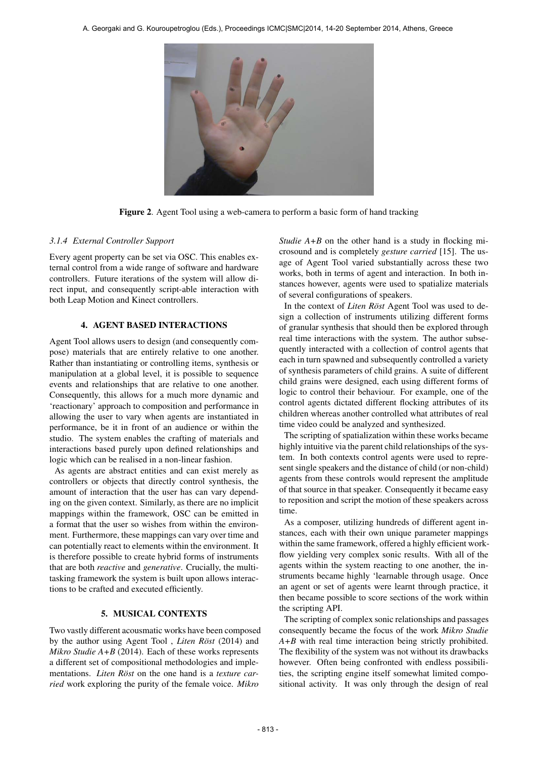

Figure 2. Agent Tool using a web-camera to perform a basic form of hand tracking

#### *3.1.4 External Controller Support*

Every agent property can be set via OSC. This enables external control from a wide range of software and hardware controllers. Future iterations of the system will allow direct input, and consequently script-able interaction with both Leap Motion and Kinect controllers.

# 4. AGENT BASED INTERACTIONS

Agent Tool allows users to design (and consequently compose) materials that are entirely relative to one another. Rather than instantiating or controlling items, synthesis or manipulation at a global level, it is possible to sequence events and relationships that are relative to one another. Consequently, this allows for a much more dynamic and 'reactionary' approach to composition and performance in allowing the user to vary when agents are instantiated in performance, be it in front of an audience or within the studio. The system enables the crafting of materials and interactions based purely upon defined relationships and logic which can be realised in a non-linear fashion.

As agents are abstract entities and can exist merely as controllers or objects that directly control synthesis, the amount of interaction that the user has can vary depending on the given context. Similarly, as there are no implicit mappings within the framework, OSC can be emitted in a format that the user so wishes from within the environment. Furthermore, these mappings can vary over time and can potentially react to elements within the environment. It is therefore possible to create hybrid forms of instruments that are both *reactive* and *generative*. Crucially, the multitasking framework the system is built upon allows interactions to be crafted and executed efficiently.

#### 5. MUSICAL CONTEXTS

Two vastly different acousmatic works have been composed by the author using Agent Tool, *Liten Röst* (2014) and *Mikro Studie A+B* (2014). Each of these works represents a different set of compositional methodologies and implementations. *Liten Röst* on the one hand is a *texture carried* work exploring the purity of the female voice. *Mikro*

*Studie A+B* on the other hand is a study in flocking microsound and is completely *gesture carried* [15]. The usage of Agent Tool varied substantially across these two works, both in terms of agent and interaction. In both instances however, agents were used to spatialize materials of several configurations of speakers.

In the context of *Liten Röst* Agent Tool was used to design a collection of instruments utilizing different forms of granular synthesis that should then be explored through real time interactions with the system. The author subsequently interacted with a collection of control agents that each in turn spawned and subsequently controlled a variety of synthesis parameters of child grains. A suite of different child grains were designed, each using different forms of logic to control their behaviour. For example, one of the control agents dictated different flocking attributes of its children whereas another controlled what attributes of real time video could be analyzed and synthesized.

The scripting of spatialization within these works became highly intuitive via the parent child relationships of the system. In both contexts control agents were used to represent single speakers and the distance of child (or non-child) agents from these controls would represent the amplitude of that source in that speaker. Consequently it became easy to reposition and script the motion of these speakers across time.

As a composer, utilizing hundreds of different agent instances, each with their own unique parameter mappings within the same framework, offered a highly efficient workflow yielding very complex sonic results. With all of the agents within the system reacting to one another, the instruments became highly 'learnable through usage. Once an agent or set of agents were learnt through practice, it then became possible to score sections of the work within the scripting API.

The scripting of complex sonic relationships and passages consequently became the focus of the work *Mikro Studie A+B* with real time interaction being strictly prohibited. The flexibility of the system was not without its drawbacks however. Often being confronted with endless possibilities, the scripting engine itself somewhat limited compositional activity. It was only through the design of real